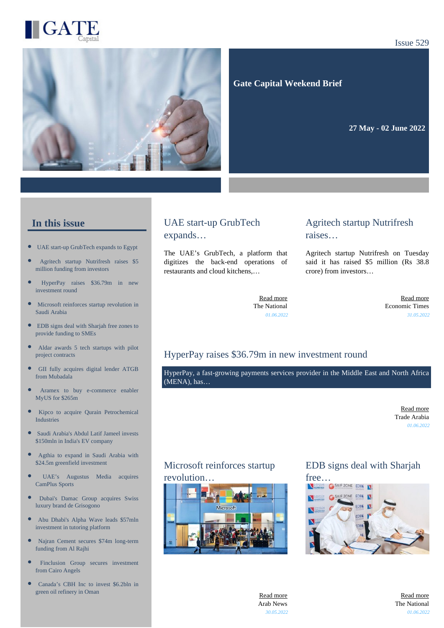

#### Issue 529



 **Gate Capital Weekend Brief**

**27 May - 02 June 2022** 

#### **In this issue**

- [UAE start-up GrubTech expands to Egypt](https://gatecapital.net/back_office/newsletters/tracking/5998/671)
- [Agritech startup Nutrifresh raises \\$5](https://gatecapital.net/back_office/newsletters/tracking/6007/671) [million funding from investors](https://gatecapital.net/back_office/newsletters/tracking/6007/671)
- × [HyperPay raises \\$36.79m in new](https://gatecapital.net/back_office/newsletters/tracking/5994/671) [investment round](https://gatecapital.net/back_office/newsletters/tracking/5994/671)
- [Microsoft reinforces startup revolution in](https://gatecapital.net/back_office/newsletters/tracking/5992/671) [Saudi Arabia](https://gatecapital.net/back_office/newsletters/tracking/5992/671)
- $\bullet$ [EDB signs deal with Sharjah free zones to](https://gatecapital.net/back_office/newsletters/tracking/6002/671) [provide funding to SMEs](https://gatecapital.net/back_office/newsletters/tracking/6002/671)
- $\bullet$ [Aldar awards 5 tech startups with pilot](https://gatecapital.net/back_office/newsletters/tracking/6004/671) [project contracts](https://gatecapital.net/back_office/newsletters/tracking/6004/671)
- Ċ [GII fully acquires digital lender ATGB](https://gatecapital.net/back_office/newsletters/tracking/5996/671) [from Mubadala](https://gatecapital.net/back_office/newsletters/tracking/5996/671)
- [Aramex to buy e-commerce enabler](https://gatecapital.net/back_office/newsletters/tracking/5995/671) [MyUS for \\$265m](https://gatecapital.net/back_office/newsletters/tracking/5995/671)
- $\bullet$ [Kipco to acquire Qurain Petrochemical](https://gatecapital.net/back_office/newsletters/tracking/5993/671) [Industries](https://gatecapital.net/back_office/newsletters/tracking/5993/671)
- $\bullet$ [Saudi Arabia's Abdul Latif Jameel invests](https://gatecapital.net/back_office/newsletters/tracking/6006/671) [\\$150mln in India's EV company](https://gatecapital.net/back_office/newsletters/tracking/6006/671)
- [Agthia to expand in Saudi Arabia with](https://gatecapital.net/back_office/newsletters/tracking/5989/671) [\\$24.5m greenfield investment](https://gatecapital.net/back_office/newsletters/tracking/5989/671)
- [UAE's Augustus Media acquires](https://gatecapital.net/back_office/newsletters/tracking/6005/671) [CamPlus Sports](https://gatecapital.net/back_office/newsletters/tracking/6005/671)
- [Dubai's Damac Group acquires Swiss](https://gatecapital.net/back_office/newsletters/tracking/5990/671) [luxury brand de Grisogono](https://gatecapital.net/back_office/newsletters/tracking/5990/671)
- [Abu Dhabi's Alpha Wave leads \\$57mln](https://gatecapital.net/back_office/newsletters/tracking/6001/671) [investment in tutoring platform](https://gatecapital.net/back_office/newsletters/tracking/6001/671)
- $\bullet$ [Najran Cement secures \\$74m long-term](https://gatecapital.net/back_office/newsletters/tracking/6008/671) [funding from Al Rajhi](https://gatecapital.net/back_office/newsletters/tracking/6008/671)
- × [Finclusion Group secures investment](https://gatecapital.net/back_office/newsletters/tracking/6003/671) [from Cairo Angels](https://gatecapital.net/back_office/newsletters/tracking/6003/671)
- [Canada's CBH Inc to invest \\$6.2bln in](https://gatecapital.net/back_office/newsletters/tracking/6000/671) [green oil refinery in Oman](https://gatecapital.net/back_office/newsletters/tracking/6000/671)

# UAE start-up GrubTech expands…

The UAE's GrubTech, a platform that digitizes the back-end operations of restaurants and cloud kitchens,…

## Agritech startup Nutrifresh raises…

Agritech startup Nutrifresh on Tuesday said it has raised \$5 million (Rs 38.8 crore) from investors…

[Read more](https://gatecapital.net/back_office/newsletters/tracking/5998/671) The National *01.06.2022*

[Read more](https://gatecapital.net/back_office/newsletters/tracking/6007/671) Economic Times *31.05.2022*

# HyperPay raises \$36.79m in new investment round

HyperPay, a fast-growing payments services provider in the Middle East and North Africa (MENA), has…

> [Read more](https://gatecapital.net/back_office/newsletters/tracking/5994/671) Trade Arabia *01.06.2022*

# Microsoft reinforces startup





# EDB signs deal with Sharjah



[Read more](https://gatecapital.net/back_office/newsletters/tracking/5992/671) Arab News *30.05.2022*

[Read more](https://gatecapital.net/back_office/newsletters/tracking/6002/671) The National *01.06.2022*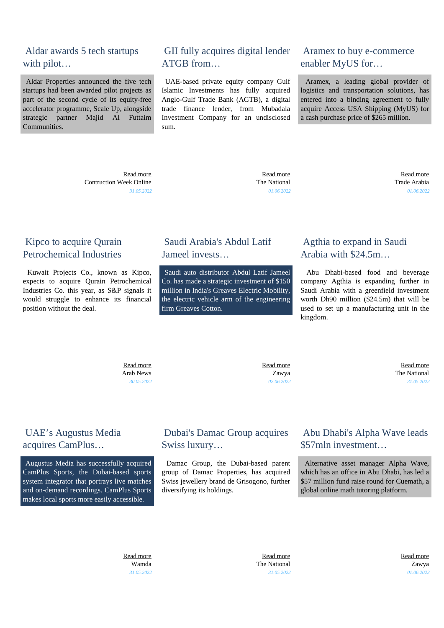# Aldar awards 5 tech startups with pilot…

 Aldar Properties announced the five tech startups had been awarded pilot projects as part of the second cycle of its equity-free accelerator programme, Scale Up, alongside strategic partner Majid Al Futtaim Communities.

> [Read more](https://gatecapital.net/back_office/newsletters/tracking/6004/671) Contruction Week Online *31.05.2022*

# GII fully acquires digital lender ATGB from…

 UAE-based private equity company Gulf Islamic Investments has fully acquired Anglo-Gulf Trade Bank (AGTB), a digital trade finance lender, from Mubadala Investment Company for an undisclosed sum.

#### Aramex to buy e-commerce enabler MyUS for…

 Aramex, a leading global provider of logistics and transportation solutions, has entered into a binding agreement to fully acquire Access USA Shipping (MyUS) for a cash purchase price of \$265 million.

 [Read more](https://gatecapital.net/back_office/newsletters/tracking/5996/671) The National *01.06.2022*

 [Read more](https://gatecapital.net/back_office/newsletters/tracking/5995/671) Trade Arabia *01.06.2022*

### Kipco to acquire Qurain Petrochemical Industries

 Kuwait Projects Co., known as Kipco, expects to acquire Qurain Petrochemical Industries Co. this year, as S&P signals it would struggle to enhance its financial position without the deal.

# Saudi Arabia's Abdul Latif Jameel invests…

 Saudi auto distributor Abdul Latif Jameel Co. has made a strategic investment of \$150 million in India's Greaves Electric Mobility, the electric vehicle arm of the engineering firm Greaves Cotton.

# Agthia to expand in Saudi Arabia with \$24.5m…

 Abu Dhabi-based food and beverage company Agthia is expanding further in Saudi Arabia with a greenfield investment worth Dh90 million (\$24.5m) that will be used to set up a manufacturing unit in the kingdom.

 [Read more](https://gatecapital.net/back_office/newsletters/tracking/5993/671) Arab News *30.05.2022*

 [Read more](https://gatecapital.net/back_office/newsletters/tracking/6006/671) Zawya *02.06.2022*

 [Read more](https://gatecapital.net/back_office/newsletters/tracking/5989/671) The National *31.05.2022*

# UAE's Augustus Media acquires CamPlus…

 Augustus Media has successfully acquired CamPlus Sports, the Dubai-based sports system integrator that portrays live matches and on-demand recordings. CamPlus Sports makes local sports more easily accessible.

# Dubai's Damac Group acquires Swiss luxury…

 Damac Group, the Dubai-based parent group of Damac Properties, has acquired Swiss jewellery brand de Grisogono, further diversifying its holdings.

# Abu Dhabi's Alpha Wave leads \$57mln investment…

 Alternative asset manager Alpha Wave, which has an office in Abu Dhabi, has led a \$57 million fund raise round for Cuemath, a global online math tutoring platform.

 [Read more](https://gatecapital.net/back_office/newsletters/tracking/6005/671) Wamda *31.05.2022*

 [Read more](https://gatecapital.net/back_office/newsletters/tracking/5990/671) The National *31.05.2022*  [Read more](https://gatecapital.net/back_office/newsletters/tracking/6001/671) Zawya *01.06.2022*